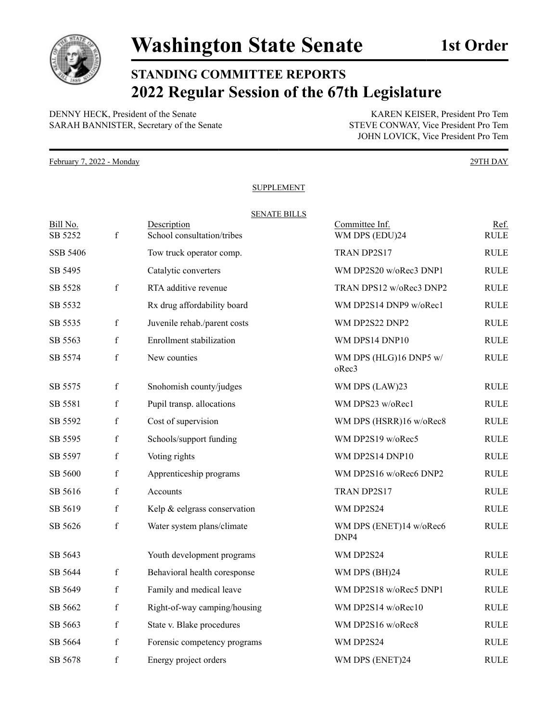

## **STANDING COMMITTEE REPORTS 2022 Regular Session of the 67th Legislature**

DENNY HECK, President of the Senate KAREN KEISER, President Pro Tem SARAH BANNISTER, Secretary of the Senate STEVE CONWAY, Vice President Pro Tem

JOHN LOVICK, Vice President Pro Tem

February 7, 2022 - Monday 29TH DAY

## SUPPLEMENT

## SENATE BILLS Bill No. **Description** Description **Description Committee Inf.** Ref. SB 5252 f School consultation/tribes WM DPS (EDU)24 RULE SSB 5406 Tow truck operator comp. TRAN DP2S17 RULE SB 5495 Catalytic converters WM DP2S20 w/oRec3 DNP1 RULE SB 5528 f RTA additive revenue TRAN DPS12 w/oRec3 DNP2 RULE SB 5532 Rx drug affordability board WM DP2S14 DNP9 w/oRec1 RULE SB 5535 f Juvenile rehab./parent costs WM DP2S22 DNP2 RULE SB 5563 f Enrollment stabilization WM DPS14 DNP10 RULE SB 5574 f New counties WM DPS (HLG)16 DNP5 w/ oRec3 RULE SB 5575 f Snohomish county/judges WM DPS (LAW)23 RULE SB 5581 f Pupil transp. allocations WM DPS23 w/oRec1 RULE SB 5592 f Cost of supervision WM DPS (HSRR)16 w/oRec8 RULE SB 5595 f Schools/support funding WM DP2S19 w/oRec5 RULE SB 5597 f Voting rights WM DP2S14 DNP10 RULE SB 5600 f Apprenticeship programs WM DP2S16 w/oRec6 DNP2 RULE SB 5616 f Accounts TRAN DP2S17 RULE SB 5619 f Kelp & eelgrass conservation WM DP2S24 RULE SB 5626 f Water system plans/climate WM DPS (ENET)14 w/oRec6 DNP4 RULE SB 5643 Youth development programs WM DP2S24 RULE SB 5644 f Behavioral health coresponse WM DPS (BH)24 RULE SB 5649 f Family and medical leave WM DP2S18 w/oRec5 DNP1 RULE SB 5662 f Right-of-way camping/housing WM DP2S14 w/oRec10 RULE SB 5663 f State v. Blake procedures WM DP2S16 w/oRec8 RULE

SB 5664 f Forensic competency programs WM DP2S24 RULE SB 5678 f Energy project orders WM DPS (ENET)24 RULE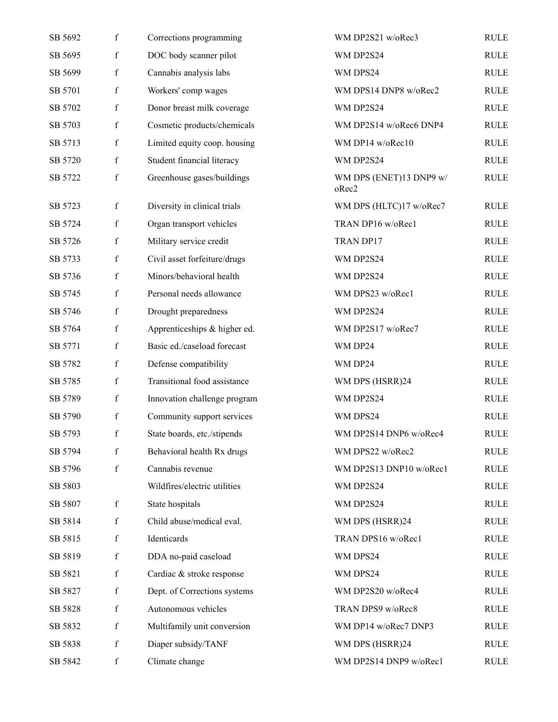| SB 5692 | $\mathbf f$ | Corrections programming      | WM DP2S21 w/oRec3                | <b>RULE</b> |
|---------|-------------|------------------------------|----------------------------------|-------------|
| SB 5695 | $\mathbf f$ | DOC body scanner pilot       | WM DP2S24                        | <b>RULE</b> |
| SB 5699 | $\mathbf f$ | Cannabis analysis labs       | WM DPS24                         | <b>RULE</b> |
| SB 5701 | $\mathbf f$ | Workers' comp wages          | WM DPS14 DNP8 w/oRec2            | <b>RULE</b> |
| SB 5702 | $\mathbf f$ | Donor breast milk coverage   | WM DP2S24                        | <b>RULE</b> |
| SB 5703 | $\mathbf f$ | Cosmetic products/chemicals  | WM DP2S14 w/oRec6 DNP4           | <b>RULE</b> |
| SB 5713 | $\mathbf f$ | Limited equity coop. housing | WM DP14 w/oRec10                 | <b>RULE</b> |
| SB 5720 | f           | Student financial literacy   | WM DP2S24                        | <b>RULE</b> |
| SB 5722 | $\mathbf f$ | Greenhouse gases/buildings   | WM DPS (ENET)13 DNP9 w/<br>oRec2 | <b>RULE</b> |
| SB 5723 | $\mathbf f$ | Diversity in clinical trials | WM DPS (HLTC)17 w/oRec7          | <b>RULE</b> |
| SB 5724 | $\mathbf f$ | Organ transport vehicles     | TRAN DP16 w/oRec1                | <b>RULE</b> |
| SB 5726 | $\mathbf f$ | Military service credit      | TRAN DP17                        | <b>RULE</b> |
| SB 5733 | f           | Civil asset forfeiture/drugs | WM DP2S24                        | <b>RULE</b> |
| SB 5736 | $\mathbf f$ | Minors/behavioral health     | WM DP2S24                        | <b>RULE</b> |
| SB 5745 | $\mathbf f$ | Personal needs allowance     | WM DPS23 w/oRec1                 | <b>RULE</b> |
| SB 5746 | $\mathbf f$ | Drought preparedness         | WM DP2S24                        | <b>RULE</b> |
| SB 5764 | $\mathbf f$ | Apprenticeships & higher ed. | WM DP2S17 w/oRec7                | <b>RULE</b> |
| SB 5771 | f           | Basic ed./caseload forecast  | WM DP24                          | <b>RULE</b> |
| SB 5782 | $\mathbf f$ | Defense compatibility        | WM DP24                          | <b>RULE</b> |
| SB 5785 | $\mathbf f$ | Transitional food assistance | WM DPS (HSRR)24                  | <b>RULE</b> |
| SB 5789 | $\mathbf f$ | Innovation challenge program | WM DP2S24                        | <b>RULE</b> |
| SB 5790 | $\mathbf f$ | Community support services   | WM DPS24                         | <b>RULE</b> |
| SB 5793 | f           | State boards, etc./stipends  | WM DP2S14 DNP6 w/oRec4           | <b>RULE</b> |
| SB 5794 | f           | Behavioral health Rx drugs   | WM DPS22 w/oRec2                 | <b>RULE</b> |
| SB 5796 | $\mathbf f$ | Cannabis revenue             | WM DP2S13 DNP10 w/oRec1          | <b>RULE</b> |
| SB 5803 |             | Wildfires/electric utilities | WM DP2S24                        | <b>RULE</b> |
| SB 5807 | $\mathbf f$ | State hospitals              | WM DP2S24                        | <b>RULE</b> |
| SB 5814 | f           | Child abuse/medical eval.    | WM DPS (HSRR)24                  | RULE        |
| SB 5815 | f           | Identicards                  | TRAN DPS16 w/oRec1               | <b>RULE</b> |
| SB 5819 | $\mathbf f$ | DDA no-paid caseload         | WM DPS24                         | <b>RULE</b> |
| SB 5821 | $\mathbf f$ | Cardiac & stroke response    | WM DPS24                         | <b>RULE</b> |
| SB 5827 | $\mathbf f$ | Dept. of Corrections systems | WM DP2S20 w/oRec4                | <b>RULE</b> |
| SB 5828 | $\mathbf f$ | Autonomous vehicles          | TRAN DPS9 w/oRec8                | <b>RULE</b> |
| SB 5832 | f           | Multifamily unit conversion  | WM DP14 w/oRec7 DNP3             | <b>RULE</b> |
| SB 5838 | $\mathbf f$ | Diaper subsidy/TANF          | WM DPS (HSRR)24                  | <b>RULE</b> |
| SB 5842 | $\mathbf f$ | Climate change               | WM DP2S14 DNP9 w/oRec1           | <b>RULE</b> |